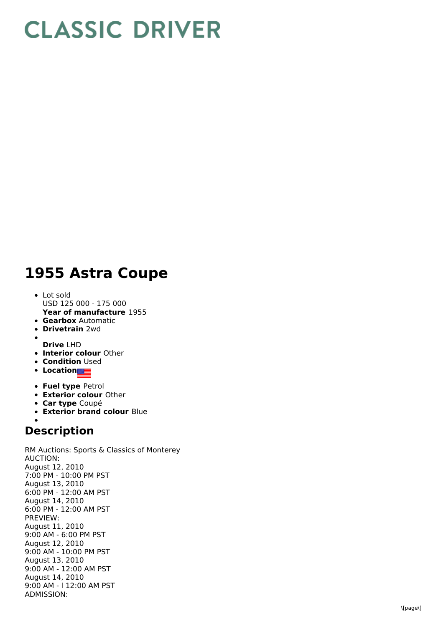## **CLASSIC DRIVER**

## 1955 Astra Coupe

- L o t s old USD 125 000 - 175 000
- **Year of manufacture** 1955
- **Gearbox** Automatic
- **Drivetrain** 2wd
- **D r i v e** L H D
- **Interior colour** Other
- **Condition** Used
- **Location**
- **Fuel type Petrol**
- **Exterior colour Other**
- **Car type** Coupé
- **Exterior brand colour Blue**

## **Description**

RM Auctions: Sports & Classics of Monterey A U C TIO N: August 12, 2 0 1 0 7:00 PM - 10:00 PM PST August 13, 2010 6:00 PM - 12:00 AM PST August 14, 2010 6:00 PM - 12:00 AM PST P R E VIE W: August 11, 2 0 1 0 9:00 AM - 6:00 PM PST August 12, 2010 9:00 AM - 10:00 PM PST August 13, 2010 9:00 AM - 12:00 AM PST August 14, 2010 9:00 AM - I 12:00 AM PST A D MIS SIO N: